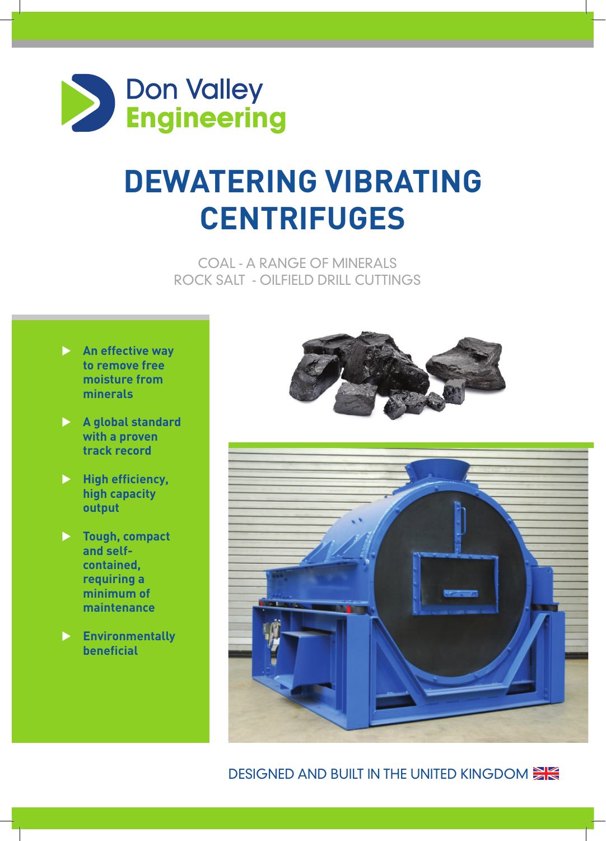

## **Dewatering Vibrating Centrifuges**

Coal - a range of Minerals Rock Salt - Oilfield Drill Cuttings

- **An effective way to remove free moisture from minerals**
- **A global standard with a proven track record**
- **High efficiency, high capacity output**
- **Fough, compact and selfcontained, requiring a minimum of maintenance**
- u **Environmentally beneficial**





## DESIGNED AND BUILT IN THE UNITED KINGDOM